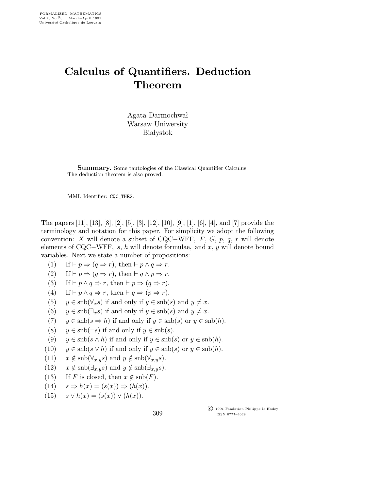## Calculus of Quantifiers. Deduction Theorem

Agata Darmochwał Warsaw Uniwersity **Białystok** 

**Summary.** Some tautologies of the Classical Quantifier Calculus. The deduction theorem is also proved.

MML Identifier: CQC THE2.

The papers [11], [13], [8], [2], [5], [3], [12], [10], [9], [1], [6], [4], and [7] provide the terminology and notation for this paper. For simplicity we adopt the following convention: X will denote a subset of CQC−WFF, F, G, p, q, r will denote elements of  $CQC-WFF$ , s, h will denote formulae, and x, y will denote bound variables. Next we state a number of propositions:

- (1) If  $\vdash p \Rightarrow (q \Rightarrow r)$ , then  $\vdash p \land q \Rightarrow r$ .
- (2) If  $\vdash p \Rightarrow (q \Rightarrow r)$ , then  $\vdash q \land p \Rightarrow r$ .
- (3) If  $\vdash p \land q \Rightarrow r$ , then  $\vdash p \Rightarrow (q \Rightarrow r)$ .
- (4) If  $\vdash p \land q \Rightarrow r$ , then  $\vdash q \Rightarrow (p \Rightarrow r)$ .
- (5)  $y \in \text{snb}(\forall_x s)$  if and only if  $y \in \text{snb}(s)$  and  $y \neq x$ .
- (6)  $y \in \text{snb}(\exists_x s)$  if and only if  $y \in \text{snb}(s)$  and  $y \neq x$ .
- (7)  $y \in \text{snb}(s \Rightarrow h)$  if and only if  $y \in \text{snb}(s)$  or  $y \in \text{snb}(h)$ .
- (8)  $y \in \text{snb}(\neg s)$  if and only if  $y \in \text{snb}(s)$ .
- (9)  $y \in \text{snb}(s \wedge h)$  if and only if  $y \in \text{snb}(s)$  or  $y \in \text{snb}(h)$ .
- (10)  $y \in \text{snb}(s \lor h)$  if and only if  $y \in \text{snb}(s)$  or  $y \in \text{snb}(h)$ .
- (11)  $x \notin \text{snb}(\forall_{x,y} s)$  and  $y \notin \text{snb}(\forall_{x,y} s)$ .
- (12)  $x \notin \text{snb}(\exists_{x,y} s) \text{ and } y \notin \text{snb}(\exists_{x,y} s).$
- (13) If F is closed, then  $x \notin \text{snb}(F)$ .
- (14)  $s \Rightarrow h(x) = (s(x)) \Rightarrow (h(x))$ .
- (15)  $s \vee h(x) = (s(x)) \vee (h(x)).$

309

 c 1991 Fondation Philippe le Hodey ISSN 0777–4028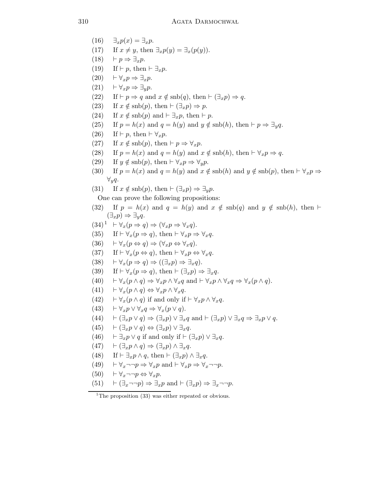$(16)$   $\exists_x p(x) = \exists_x p$ . (17) If  $x \neq y$ , then  $\exists_x p(y) = \exists_x (p(y))$ .  $(18)$  ⊢  $p \Rightarrow \exists_x p$ . (19) If  $\vdash p$ , then  $\vdash \exists_x p$ .  $(20)$  ⊢ $\forall_x p \Rightarrow \exists_x p$ .  $(21)$   $\vdash \forall_x p \Rightarrow \exists_y p.$ (22) If  $\vdash p \Rightarrow q$  and  $x \notin \text{snb}(q)$ , then  $\vdash (\exists_x p) \Rightarrow q$ . (23) If  $x \notin \text{sub}(p)$ , then  $\vdash (\exists_x p) \Rightarrow p$ . (24) If  $x \notin \text{snb}(p)$  and  $\vdash \exists_x p$ , then  $\vdash p$ . (25) If  $p = h(x)$  and  $q = h(y)$  and  $y \notin \text{sub}(h)$ , then  $\vdash p \Rightarrow \exists_y q$ . (26) If  $\vdash p$ , then  $\vdash \forall_x p$ . (27) If  $x \notin \text{snb}(p)$ , then  $\vdash p \Rightarrow \forall_x p$ . (28) If  $p = h(x)$  and  $q = h(y)$  and  $x \notin \text{sub}(h)$ , then  $\vdash \forall_x p \Rightarrow q$ . (29) If  $y \notin \text{snb}(p)$ , then  $\vdash \forall_x p \Rightarrow \forall_y p$ . (30) If  $p = h(x)$  and  $q = h(y)$  and  $x \notin \text{sub}(h)$  and  $y \notin \text{sub}(p)$ , then  $\vdash \forall_x p \Rightarrow$  $\forall_{y}q.$ (31) If  $x \notin \text{snb}(p)$ , then  $\vdash (\exists_x p) \Rightarrow \exists_y p$ . One can prove the following propositions: (32) If  $p = h(x)$  and  $q = h(y)$  and  $x \notin \text{snb}(q)$  and  $y \notin \text{snb}(h)$ , then  $\vdash$  $(\exists_x p) \Rightarrow \exists_y q.$  $(34)^1$  ⊢  $\forall_x (p \Rightarrow q) \Rightarrow (\forall_x p \Rightarrow \forall_x q).$ (35) If  $\vdash \forall_x (p \Rightarrow q)$ , then  $\vdash \forall_x p \Rightarrow \forall_x q$ .  $(36)$   $\vdash \forall_x (p \Leftrightarrow q) \Rightarrow (\forall_x p \Leftrightarrow \forall_x q).$ (37) If  $\vdash \forall_x (p \Leftrightarrow q)$ , then  $\vdash \forall_x p \Leftrightarrow \forall_x q$ .  $(38)$   $\vdash \forall x (p \Rightarrow q) \Rightarrow ((\exists x p) \Rightarrow \exists x q).$ (39) If  $\vdash \forall_x (p \Rightarrow q)$ , then  $\vdash (\exists_x p) \Rightarrow \exists_x q$ . (40)  $\vdash \forall_x (p \land q) \Rightarrow \forall_x p \land \forall_x q \text{ and } \vdash \forall_x p \land \forall_x q \Rightarrow \forall_x (p \land q).$  $(41)$   $\vdash \forall_x (p \land q) \Leftrightarrow \forall_x p \land \forall_x q.$ (42)  $\vdash \forall_x (p \land q)$  if and only if  $\vdash \forall_x p \land \forall_x q$ . (43)  $\vdash \forall_x p \lor \forall_x q \Rightarrow \forall_x (p \lor q).$ (44)  $\vdash (\exists_x p \lor q) \Rightarrow (\exists_x p) \lor \exists_x q \text{ and } \vdash (\exists_x p) \lor \exists_x q \Rightarrow \exists_x p \lor q.$  $(45)$   $\vdash (\exists_x p \lor q) \Leftrightarrow (\exists_x p) \lor \exists_x q.$ (46)  $\vdash \exists_x p \lor q$  if and only if  $\vdash (\exists_x p) \lor \exists_x q$ .  $(47)$   $\vdash (\exists_x p \land q) \Rightarrow (\exists_x p) \land \exists_x q.$ (48) If  $\vdash \exists_x p \land q$ , then  $\vdash (\exists_x p) \land \exists_x q$ . (49)  $\vdash \forall_x \neg \neg p \Rightarrow \forall_x p \text{ and } \vdash \forall_x p \Rightarrow \forall_x \neg \neg p.$  $(50)$   $\vdash \forall_x \neg \neg p \Leftrightarrow \forall_x p$ . (51)  $\vdash (\exists_x \neg \neg p) \Rightarrow \exists_x p \text{ and } \vdash (\exists_x p) \Rightarrow \exists_x \neg \neg p.$ 

<sup>&</sup>lt;sup>1</sup>The proposition  $(33)$  was either repeated or obvious.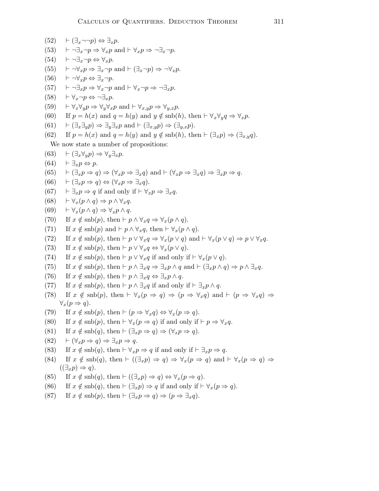(52) 
$$
\vdash (\exists_x \neg \neg p) \Leftrightarrow \exists_x p
$$
.  
\n(53)  $\vdash \neg \exists_x \neg p \Leftrightarrow \forall_x p$  and  $\vdash \forall_x p \Rightarrow \neg \exists_x \neg p$ .  
\n(54)  $\vdash \neg \exists_x \neg p \Leftrightarrow \forall_x p$ .  
\n(55)  $\vdash \neg \forall_x p \Rightarrow \exists_x \neg p$  and  $\vdash (\exists_x \neg p) \Rightarrow \neg \forall_x p$ .  
\n(56)  $\vdash \neg \forall_x p \Leftrightarrow \exists_x \neg p$  and  $\vdash (\exists_x \neg p) \Rightarrow \neg \forall_x p$ .  
\n(57)  $\vdash \neg \exists_x p \Rightarrow \forall_x \neg p$  and  $\vdash \forall_x \neg p \Rightarrow \neg \exists_x p$ .  
\n(58)  $\vdash \forall_x \neg p \Leftrightarrow \neg \exists_x p$ .  
\n(59)  $\vdash \forall_x \forall_y p \Rightarrow \forall_y \forall_x p$  and  $\vdash \forall_x \neg p \Rightarrow \forall_y \neg p$ .  
\n(50)  $\vdash \forall_x \forall_y p \Rightarrow \forall_y \forall_x p$  and  $\vdash (\exists_x \neg p) \Rightarrow (\exists_y \neg p)$ .  
\n(60) If  $p = h(x)$  and  $q = h(y)$  and  $y \notin \text{snb}(h)$ , then  $\vdash (\exists_x p) \Rightarrow (\exists_x \neg q)$ .  
\n(62) If  $p = h(x)$  and  $q = h(y)$  and  $y \notin \text{snb}(h)$ , then  $\vdash (\exists_x p) \Rightarrow (\exists_x \neg p)$ .  
\n(63)  $\vdash (\exists_x \neg \neg \neg p)$  and  $\vdash (p \lor x) \Rightarrow \exists_x q$ .  
\n(64)  $\vdash \exists_x p \Leftrightarrow q$  and  $\vdash \forall_x p \Rightarrow \exists_x q$ .  
\n(65)  $\vdash (\exists_x \neg p \Rightarrow q) \Leftrightarrow (\forall_x p \Rightarrow \exists_x q)$  and  $\vdash (\forall_x p \Rightarrow \exists_x q) \Rightarrow \exists_x p \Rightarrow q$ .  
\n(66)  $\vdash (\exists_x \neg p \Rightarrow q) \Leftrightarrow (\forall_x p \Rightarrow \exists_x q)$  and

(87) If  $x \notin \text{sub}(p)$ , then  $\vdash (\exists_x p \Rightarrow q) \Rightarrow (p \Rightarrow \exists_x q)$ .